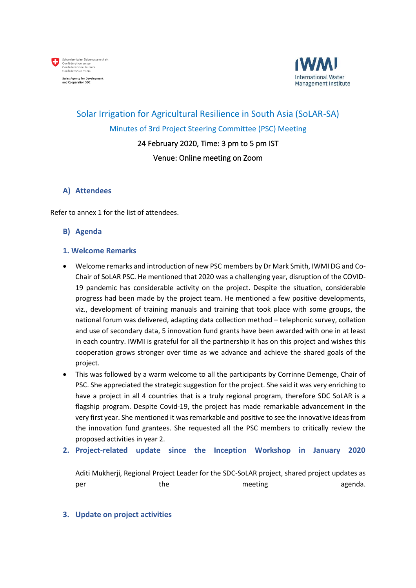



# Solar Irrigation for Agricultural Resilience in South Asia (SoLAR-SA) Minutes of 3rd Project Steering Committee (PSC) Meeting 24 February 2020, Time: 3 pm to 5 pm IST

# Venue: Online meeting on Zoom

#### **A) Attendees**

Refer to annex 1 for the list of attendees.

#### **B) Agenda**

#### **1. Welcome Remarks**

- Welcome remarks and introduction of new PSC members by Dr Mark Smith, IWMI DG and Co-Chair of SoLAR PSC. He mentioned that 2020 was a challenging year, disruption of the COVID-19 pandemic has considerable activity on the project. Despite the situation, considerable progress had been made by the project team. He mentioned a few positive developments, viz., development of training manuals and training that took place with some groups, the national forum was delivered, adapting data collection method – telephonic survey, collation and use of secondary data, 5 innovation fund grants have been awarded with one in at least in each country. IWMI is grateful for all the partnership it has on this project and wishes this cooperation grows stronger over time as we advance and achieve the shared goals of the project.
- This was followed by a warm welcome to all the participants by Corrinne Demenge, Chair of PSC. She appreciated the strategic suggestion for the project. She said it was very enriching to have a project in all 4 countries that is a truly regional program, therefore SDC SoLAR is a flagship program. Despite Covid-19, the project has made remarkable advancement in the very first year. She mentioned it was remarkable and positive to see the innovative ideas from the innovation fund grantees. She requested all the PSC members to critically review the proposed activities in year 2.
- **2. Project-related update since the Inception Workshop in January 2020**

Aditi Mukherji, Regional Project Leader for the SDC-SoLAR project, shared project updates as per the the meeting agenda.

#### **3. Update on project activities**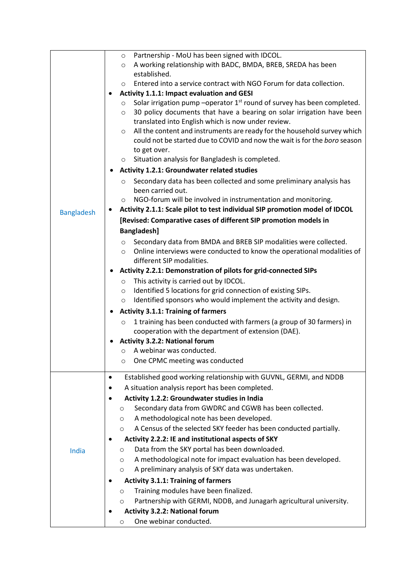|                   | Partnership - MoU has been signed with IDCOL.<br>$\circ$                                                                                                                                                                       |
|-------------------|--------------------------------------------------------------------------------------------------------------------------------------------------------------------------------------------------------------------------------|
|                   | A working relationship with BADC, BMDA, BREB, SREDA has been<br>$\circ$                                                                                                                                                        |
|                   | established.                                                                                                                                                                                                                   |
|                   | Entered into a service contract with NGO Forum for data collection.<br>$\circ$                                                                                                                                                 |
|                   | Activity 1.1.1: Impact evaluation and GESI<br>$\bullet$                                                                                                                                                                        |
|                   | Solar irrigation pump -operator $1st$ round of survey has been completed.<br>$\circ$<br>30 policy documents that have a bearing on solar irrigation have been<br>$\circ$<br>translated into English which is now under review. |
|                   | All the content and instruments are ready for the household survey which<br>$\circ$<br>could not be started due to COVID and now the wait is for the boro season<br>to get over.                                               |
|                   | Situation analysis for Bangladesh is completed.<br>$\circ$                                                                                                                                                                     |
|                   | <b>Activity 1.2.1: Groundwater related studies</b>                                                                                                                                                                             |
|                   | Secondary data has been collected and some preliminary analysis has<br>$\circ$<br>been carried out.                                                                                                                            |
|                   | NGO-forum will be involved in instrumentation and monitoring.<br>$\circ$                                                                                                                                                       |
| <b>Bangladesh</b> | Activity 2.1.1: Scale pilot to test individual SIP promotion model of IDCOL                                                                                                                                                    |
|                   | [Revised: Comparative cases of different SIP promotion models in                                                                                                                                                               |
|                   | <b>Bangladesh]</b>                                                                                                                                                                                                             |
|                   | Secondary data from BMDA and BREB SIP modalities were collected.<br>$\circ$                                                                                                                                                    |
|                   | Online interviews were conducted to know the operational modalities of<br>$\circ$                                                                                                                                              |
|                   | different SIP modalities.                                                                                                                                                                                                      |
|                   | Activity 2.2.1: Demonstration of pilots for grid-connected SIPs                                                                                                                                                                |
|                   | This activity is carried out by IDCOL.<br>$\circ$                                                                                                                                                                              |
|                   | Identified 5 locations for grid connection of existing SIPs.<br>$\circ$                                                                                                                                                        |
|                   | Identified sponsors who would implement the activity and design.<br>$\circ$                                                                                                                                                    |
|                   | <b>Activity 3.1.1: Training of farmers</b>                                                                                                                                                                                     |
|                   | 1 training has been conducted with farmers (a group of 30 farmers) in<br>$\circ$                                                                                                                                               |
|                   | cooperation with the department of extension (DAE).                                                                                                                                                                            |
|                   | <b>Activity 3.2.2: National forum</b><br>٠                                                                                                                                                                                     |
|                   | A webinar was conducted.<br>$\circ$                                                                                                                                                                                            |
|                   | o One CPMC meeting was conducted                                                                                                                                                                                               |
|                   | Established good working relationship with GUVNL, GERMI, and NDDB<br>$\bullet$                                                                                                                                                 |
|                   | A situation analysis report has been completed.<br>$\bullet$                                                                                                                                                                   |
|                   | Activity 1.2.2: Groundwater studies in India                                                                                                                                                                                   |
|                   | Secondary data from GWDRC and CGWB has been collected.<br>O                                                                                                                                                                    |
|                   | A methodological note has been developed.<br>O                                                                                                                                                                                 |
|                   | A Census of the selected SKY feeder has been conducted partially.<br>O                                                                                                                                                         |
|                   | Activity 2.2.2: IE and institutional aspects of SKY                                                                                                                                                                            |
| India             | Data from the SKY portal has been downloaded.<br>O                                                                                                                                                                             |
|                   | A methodological note for impact evaluation has been developed.<br>O                                                                                                                                                           |
|                   | A preliminary analysis of SKY data was undertaken.<br>O                                                                                                                                                                        |
|                   | <b>Activity 3.1.1: Training of farmers</b>                                                                                                                                                                                     |
|                   | Training modules have been finalized.<br>$\circ$                                                                                                                                                                               |
|                   | Partnership with GERMI, NDDB, and Junagarh agricultural university.<br>O                                                                                                                                                       |
|                   | <b>Activity 3.2.2: National forum</b>                                                                                                                                                                                          |
|                   | One webinar conducted.<br>O                                                                                                                                                                                                    |
|                   |                                                                                                                                                                                                                                |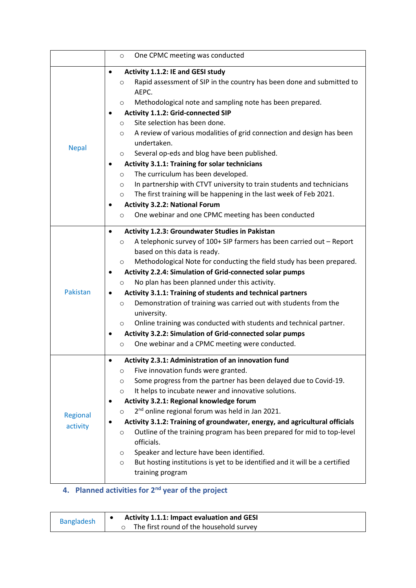|                      | One CPMC meeting was conducted<br>$\circ$                                                                                                                                                                                                                                                                                                                                                                                                                                                                                                                                                                                                                                                                                                                                                                                                       |
|----------------------|-------------------------------------------------------------------------------------------------------------------------------------------------------------------------------------------------------------------------------------------------------------------------------------------------------------------------------------------------------------------------------------------------------------------------------------------------------------------------------------------------------------------------------------------------------------------------------------------------------------------------------------------------------------------------------------------------------------------------------------------------------------------------------------------------------------------------------------------------|
| <b>Nepal</b>         | Activity 1.1.2: IE and GESI study<br>Rapid assessment of SIP in the country has been done and submitted to<br>$\circ$<br>AEPC.<br>Methodological note and sampling note has been prepared.<br>$\circ$<br>Activity 1.1.2: Grid-connected SIP<br>Site selection has been done.<br>$\circ$<br>A review of various modalities of grid connection and design has been<br>$\circ$<br>undertaken.<br>Several op-eds and blog have been published.<br>$\circ$<br><b>Activity 3.1.1: Training for solar technicians</b><br>The curriculum has been developed.<br>$\circ$<br>In partnership with CTVT university to train students and technicians<br>$\circ$<br>The first training will be happening in the last week of Feb 2021.<br>$\circ$<br><b>Activity 3.2.2: National Forum</b><br>One webinar and one CPMC meeting has been conducted<br>$\circ$ |
| Pakistan             | Activity 1.2.3: Groundwater Studies in Pakistan<br>٠<br>A telephonic survey of 100+ SIP farmers has been carried out - Report<br>$\circ$<br>based on this data is ready.<br>Methodological Note for conducting the field study has been prepared.<br>$\circ$<br>Activity 2.2.4: Simulation of Grid-connected solar pumps<br>No plan has been planned under this activity.<br>$\circ$<br>Activity 3.1.1: Training of students and technical partners<br>Demonstration of training was carried out with students from the<br>$\circ$<br>university.<br>Online training was conducted with students and technical partner.<br>O<br>Activity 3.2.2: Simulation of Grid-connected solar pumps<br>One webinar and a CPMC meeting were conducted.<br>$\circ$                                                                                           |
| Regional<br>activity | Activity 2.3.1: Administration of an innovation fund<br>Five innovation funds were granted.<br>$\circ$<br>Some progress from the partner has been delayed due to Covid-19.<br>$\circ$<br>It helps to incubate newer and innovative solutions.<br>O<br>Activity 3.2.1: Regional knowledge forum<br>2 <sup>nd</sup> online regional forum was held in Jan 2021.<br>$\circ$<br>Activity 3.1.2: Training of groundwater, energy, and agricultural officials<br>Outline of the training program has been prepared for mid to top-level<br>$\circ$<br>officials.<br>Speaker and lecture have been identified.<br>$\circ$<br>But hosting institutions is yet to be identified and it will be a certified<br>$\circ$<br>training program                                                                                                                |

# **4. Planned activities for 2nd year of the project**

| <b>Bangladesh</b> | <b>Activity 1.1.1: Impact evaluation and GESI</b> |
|-------------------|---------------------------------------------------|
|                   | The first round of the household survey           |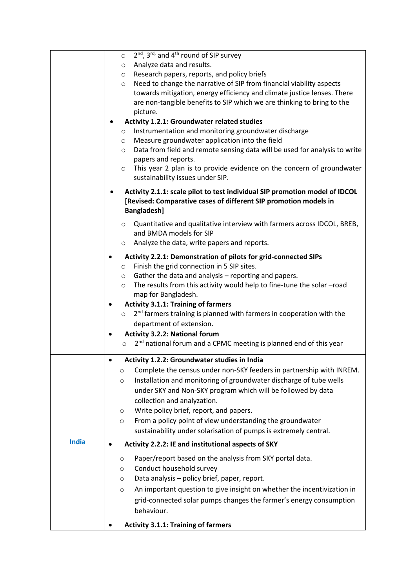|              | 2 <sup>nd</sup> , 3 <sup>rd,</sup> and 4 <sup>th</sup> round of SIP survey<br>$\circ$                                                                          |
|--------------|----------------------------------------------------------------------------------------------------------------------------------------------------------------|
|              | $\circ$ Analyze data and results.                                                                                                                              |
|              | Research papers, reports, and policy briefs<br>$\circ$                                                                                                         |
|              | Need to change the narrative of SIP from financial viability aspects<br>$\circ$                                                                                |
|              | towards mitigation, energy efficiency and climate justice lenses. There                                                                                        |
|              | are non-tangible benefits to SIP which we are thinking to bring to the                                                                                         |
|              | picture.                                                                                                                                                       |
|              | <b>Activity 1.2.1: Groundwater related studies</b>                                                                                                             |
|              | Instrumentation and monitoring groundwater discharge<br>$\circ$                                                                                                |
|              | Measure groundwater application into the field<br>$\circ$                                                                                                      |
|              | Data from field and remote sensing data will be used for analysis to write<br>$\circ$                                                                          |
|              | papers and reports.                                                                                                                                            |
|              | This year 2 plan is to provide evidence on the concern of groundwater<br>$\circ$                                                                               |
|              | sustainability issues under SIP.                                                                                                                               |
|              | Activity 2.1.1: scale pilot to test individual SIP promotion model of IDCOL<br>[Revised: Comparative cases of different SIP promotion models in<br>Bangladesh] |
|              |                                                                                                                                                                |
|              | Quantitative and qualitative interview with farmers across IDCOL, BREB,<br>$\circ$                                                                             |
|              | and BMDA models for SIP                                                                                                                                        |
|              | o Analyze the data, write papers and reports.                                                                                                                  |
|              | Activity 2.2.1: Demonstration of pilots for grid-connected SIPs                                                                                                |
|              | Finish the grid connection in 5 SIP sites.<br>$\circ$                                                                                                          |
|              | $\circ$ Gather the data and analysis – reporting and papers.                                                                                                   |
|              | The results from this activity would help to fine-tune the solar -road<br>$\circ$                                                                              |
|              | map for Bangladesh.                                                                                                                                            |
|              | <b>Activity 3.1.1: Training of farmers</b><br>٠                                                                                                                |
|              | 2 <sup>nd</sup> farmers training is planned with farmers in cooperation with the<br>$\circ$                                                                    |
|              | department of extension.                                                                                                                                       |
|              | <b>Activity 3.2.2: National forum</b>                                                                                                                          |
|              | 2 <sup>nd</sup> national forum and a CPMC meeting is planned end of this year<br>$\circ$                                                                       |
|              |                                                                                                                                                                |
|              | Activity 1.2.2: Groundwater studies in India                                                                                                                   |
|              | Complete the census under non-SKY feeders in partnership with INREM.<br>$\circ$                                                                                |
|              | Installation and monitoring of groundwater discharge of tube wells<br>$\circ$                                                                                  |
|              | under SKY and Non-SKY program which will be followed by data                                                                                                   |
|              | collection and analyzation.                                                                                                                                    |
|              | Write policy brief, report, and papers.<br>$\circ$                                                                                                             |
|              | From a policy point of view understanding the groundwater<br>$\circ$                                                                                           |
|              | sustainability under solarisation of pumps is extremely central.                                                                                               |
| <b>India</b> |                                                                                                                                                                |
|              | Activity 2.2.2: IE and institutional aspects of SKY                                                                                                            |
|              | Paper/report based on the analysis from SKY portal data.<br>$\circ$                                                                                            |
|              | Conduct household survey<br>$\circ$                                                                                                                            |
|              | Data analysis - policy brief, paper, report.<br>O                                                                                                              |
|              | An important question to give insight on whether the incentivization in<br>$\circ$                                                                             |
|              | grid-connected solar pumps changes the farmer's energy consumption                                                                                             |
|              | behaviour.                                                                                                                                                     |
|              |                                                                                                                                                                |
|              | <b>Activity 3.1.1: Training of farmers</b>                                                                                                                     |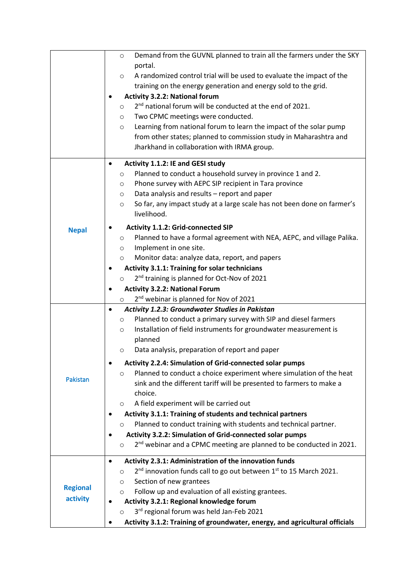|                 | Demand from the GUVNL planned to train all the farmers under the SKY<br>$\circ$                                                             |  |  |  |
|-----------------|---------------------------------------------------------------------------------------------------------------------------------------------|--|--|--|
|                 | portal.                                                                                                                                     |  |  |  |
|                 | A randomized control trial will be used to evaluate the impact of the<br>$\circ$                                                            |  |  |  |
|                 | training on the energy generation and energy sold to the grid.                                                                              |  |  |  |
|                 | <b>Activity 3.2.2: National forum</b>                                                                                                       |  |  |  |
|                 | 2 <sup>nd</sup> national forum will be conducted at the end of 2021.<br>$\circ$                                                             |  |  |  |
|                 | Two CPMC meetings were conducted.<br>$\circ$                                                                                                |  |  |  |
|                 | Learning from national forum to learn the impact of the solar pump<br>$\circ$                                                               |  |  |  |
|                 | from other states; planned to commission study in Maharashtra and                                                                           |  |  |  |
|                 | Jharkhand in collaboration with IRMA group.                                                                                                 |  |  |  |
|                 |                                                                                                                                             |  |  |  |
|                 | Activity 1.1.2: IE and GESI study<br>٠<br>Planned to conduct a household survey in province 1 and 2.<br>$\circ$                             |  |  |  |
|                 | Phone survey with AEPC SIP recipient in Tara province<br>$\circ$                                                                            |  |  |  |
|                 | Data analysis and results - report and paper<br>$\circ$                                                                                     |  |  |  |
|                 | So far, any impact study at a large scale has not been done on farmer's<br>$\circ$                                                          |  |  |  |
|                 | livelihood.                                                                                                                                 |  |  |  |
|                 | <b>Activity 1.1.2: Grid-connected SIP</b>                                                                                                   |  |  |  |
| <b>Nepal</b>    | Planned to have a formal agreement with NEA, AEPC, and village Palika.<br>$\circ$                                                           |  |  |  |
|                 | Implement in one site.<br>$\circ$                                                                                                           |  |  |  |
|                 | Monitor data: analyze data, report, and papers<br>$\circ$                                                                                   |  |  |  |
|                 | <b>Activity 3.1.1: Training for solar technicians</b>                                                                                       |  |  |  |
|                 | 2 <sup>nd</sup> training is planned for Oct-Nov of 2021<br>$\circ$                                                                          |  |  |  |
|                 | <b>Activity 3.2.2: National Forum</b>                                                                                                       |  |  |  |
|                 | ٠<br>2 <sup>nd</sup> webinar is planned for Nov of 2021                                                                                     |  |  |  |
|                 | $\circ$<br>Activity 1.2.3: Groundwater Studies in Pakistan<br>$\bullet$                                                                     |  |  |  |
|                 | Planned to conduct a primary survey with SIP and diesel farmers<br>$\circ$                                                                  |  |  |  |
|                 | Installation of field instruments for groundwater measurement is<br>$\circ$                                                                 |  |  |  |
|                 | planned                                                                                                                                     |  |  |  |
|                 | Data analysis, preparation of report and paper<br>$\circ$                                                                                   |  |  |  |
|                 | Activity 2.2.4: Simulation of Grid-connected solar pumps                                                                                    |  |  |  |
|                 |                                                                                                                                             |  |  |  |
| Pakistan        | Planned to conduct a choice experiment where simulation of the heat<br>$\circ$                                                              |  |  |  |
|                 | sink and the different tariff will be presented to farmers to make a<br>choice.                                                             |  |  |  |
|                 | A field experiment will be carried out                                                                                                      |  |  |  |
|                 | $\circ$                                                                                                                                     |  |  |  |
|                 | Activity 3.1.1: Training of students and technical partners<br>Planned to conduct training with students and technical partner.             |  |  |  |
|                 | $\circ$                                                                                                                                     |  |  |  |
|                 | Activity 3.2.2: Simulation of Grid-connected solar pumps<br>2 <sup>nd</sup> webinar and a CPMC meeting are planned to be conducted in 2021. |  |  |  |
|                 | $\circ$                                                                                                                                     |  |  |  |
|                 | Activity 2.3.1: Administration of the innovation funds<br>$\bullet$                                                                         |  |  |  |
|                 | 2 <sup>nd</sup> innovation funds call to go out between 1 <sup>st</sup> to 15 March 2021.<br>$\circ$                                        |  |  |  |
| <b>Regional</b> | Section of new grantees<br>$\circ$                                                                                                          |  |  |  |
| activity        | Follow up and evaluation of all existing grantees.<br>$\circ$                                                                               |  |  |  |
|                 | Activity 3.2.1: Regional knowledge forum                                                                                                    |  |  |  |
|                 | 3rd regional forum was held Jan-Feb 2021<br>$\circ$                                                                                         |  |  |  |
|                 | Activity 3.1.2: Training of groundwater, energy, and agricultural officials                                                                 |  |  |  |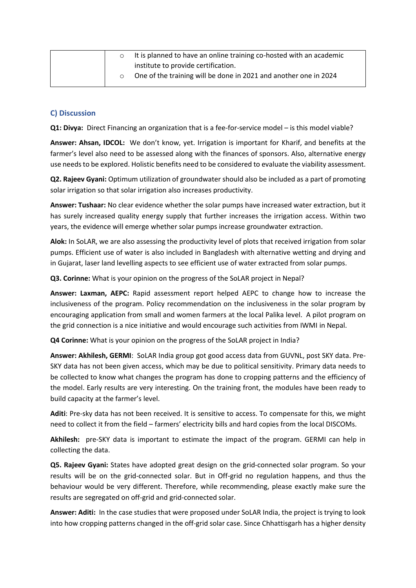|  | It is planned to have an online training co-hosted with an academic |
|--|---------------------------------------------------------------------|
|  | institute to provide certification.                                 |
|  | One of the training will be done in 2021 and another one in 2024    |

### **C) Discussion**

**Q1: Divya:** Direct Financing an organization that is a fee-for-service model – is this model viable?

**Answer: Ahsan, IDCOL:** We don't know, yet. Irrigation is important for Kharif, and benefits at the farmer's level also need to be assessed along with the finances of sponsors. Also, alternative energy use needsto be explored. Holistic benefits need to be considered to evaluate the viability assessment.

**Q2. Rajeev Gyani:** Optimum utilization of groundwater should also be included as a part of promoting solar irrigation so that solar irrigation also increases productivity.

**Answer: Tushaar:** No clear evidence whether the solar pumps have increased water extraction, but it has surely increased quality energy supply that further increases the irrigation access. Within two years, the evidence will emerge whether solar pumps increase groundwater extraction.

**Alok:** In SoLAR, we are also assessing the productivity level of plots that received irrigation from solar pumps. Efficient use of water is also included in Bangladesh with alternative wetting and drying and in Gujarat, laser land levelling aspects to see efficient use of water extracted from solar pumps.

**Q3. Corinne:** What is your opinion on the progress of the SoLAR project in Nepal?

**Answer: Laxman, AEPC:** Rapid assessment report helped AEPC to change how to increase the inclusiveness of the program. Policy recommendation on the inclusiveness in the solar program by encouraging application from small and women farmers at the local Palika level. A pilot program on the grid connection is a nice initiative and would encourage such activities from IWMI in Nepal.

**Q4 Corinne:** What is your opinion on the progress of the SoLAR project in India?

**Answer: Akhilesh, GERMI**: SoLAR India group got good access data from GUVNL, post SKY data. Pre-SKY data has not been given access, which may be due to political sensitivity. Primary data needs to be collected to know what changes the program has done to cropping patterns and the efficiency of the model. Early results are very interesting. On the training front, the modules have been ready to build capacity at the farmer's level.

**Aditi**: Pre-sky data has not been received. It is sensitive to access. To compensate for this, we might need to collect it from the field – farmers' electricity bills and hard copies from the local DISCOMs.

**Akhilesh:** pre-SKY data is important to estimate the impact of the program. GERMI can help in collecting the data.

**Q5. Rajeev Gyani:** States have adopted great design on the grid-connected solar program. So your results will be on the grid-connected solar. But in Off-grid no regulation happens, and thus the behaviour would be very different. Therefore, while recommending, please exactly make sure the results are segregated on off-grid and grid-connected solar.

**Answer: Aditi:** In the case studies that were proposed under SoLAR India, the project is trying to look into how cropping patterns changed in the off-grid solar case. Since Chhattisgarh has a higher density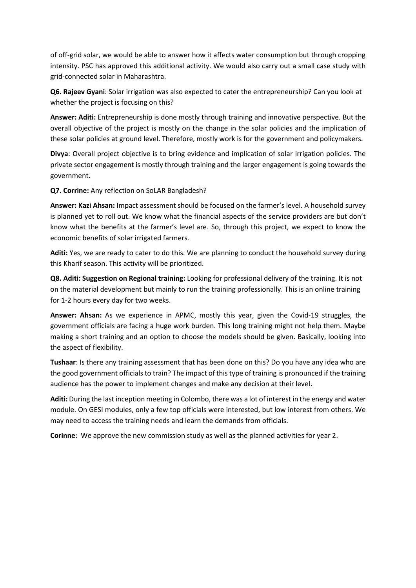of off-grid solar, we would be able to answer how it affects water consumption but through cropping intensity. PSC has approved this additional activity. We would also carry out a small case study with grid-connected solar in Maharashtra.

**Q6. Rajeev Gyani**: Solar irrigation was also expected to cater the entrepreneurship? Can you look at whether the project is focusing on this?

**Answer: Aditi:** Entrepreneurship is done mostly through training and innovative perspective. But the overall objective of the project is mostly on the change in the solar policies and the implication of these solar policies at ground level. Therefore, mostly work is for the government and policymakers.

**Divya**: Overall project objective is to bring evidence and implication of solar irrigation policies. The private sector engagement is mostly through training and the larger engagement is going towards the government.

**Q7. Corrine:** Any reflection on SoLAR Bangladesh?

**Answer: Kazi Ahsan:** Impact assessment should be focused on the farmer's level. A household survey is planned yet to roll out. We know what the financial aspects of the service providers are but don't know what the benefits at the farmer's level are. So, through this project, we expect to know the economic benefits of solar irrigated farmers.

**Aditi:** Yes, we are ready to cater to do this. We are planning to conduct the household survey during this Kharif season. This activity will be prioritized.

**Q8. Aditi: Suggestion on Regional training:** Looking for professional delivery of the training. It is not on the material development but mainly to run the training professionally. This is an online training for 1-2 hours every day for two weeks.

**Answer: Ahsan:** As we experience in APMC, mostly this year, given the Covid-19 struggles, the government officials are facing a huge work burden. This long training might not help them. Maybe making a short training and an option to choose the models should be given. Basically, looking into the aspect of flexibility.

**Tushaar**: Is there any training assessment that has been done on this? Do you have any idea who are the good government officials to train? The impact of this type of training is pronounced if the training audience has the power to implement changes and make any decision at their level.

**Aditi:** During the last inception meeting in Colombo, there was a lot of interest in the energy and water module. On GESI modules, only a few top officials were interested, but low interest from others. We may need to access the training needs and learn the demands from officials.

**Corinne**: We approve the new commission study as well as the planned activities for year 2.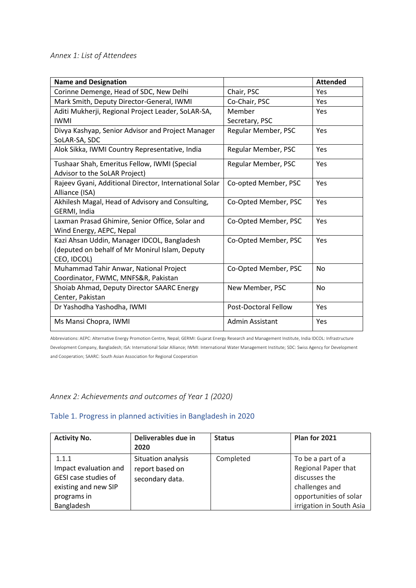# *Annex 1: List of Attendees*

| <b>Name and Designation</b>                            |                             | <b>Attended</b> |
|--------------------------------------------------------|-----------------------------|-----------------|
| Corinne Demenge, Head of SDC, New Delhi                | Chair, PSC                  | Yes             |
| Mark Smith, Deputy Director-General, IWMI              | Co-Chair, PSC               | Yes             |
| Aditi Mukherji, Regional Project Leader, SoLAR-SA,     | Member                      | <b>Yes</b>      |
| <b>IWMI</b>                                            | Secretary, PSC              |                 |
| Divya Kashyap, Senior Advisor and Project Manager      | Regular Member, PSC         | <b>Yes</b>      |
| SoLAR-SA, SDC                                          |                             |                 |
| Alok Sikka, IWMI Country Representative, India         | Regular Member, PSC         | Yes             |
| Tushaar Shah, Emeritus Fellow, IWMI (Special           | Regular Member, PSC         | <b>Yes</b>      |
| Advisor to the SoLAR Project)                          |                             |                 |
| Rajeev Gyani, Additional Director, International Solar | Co-opted Member, PSC        | <b>Yes</b>      |
| Alliance (ISA)                                         |                             |                 |
| Akhilesh Magal, Head of Advisory and Consulting,       | Co-Opted Member, PSC        | <b>Yes</b>      |
| GERMI, India                                           |                             |                 |
| Laxman Prasad Ghimire, Senior Office, Solar and        | Co-Opted Member, PSC        | Yes             |
| Wind Energy, AEPC, Nepal                               |                             |                 |
| Kazi Ahsan Uddin, Manager IDCOL, Bangladesh            | Co-Opted Member, PSC        | Yes             |
| (deputed on behalf of Mr Monirul Islam, Deputy         |                             |                 |
| CEO, IDCOL)                                            |                             |                 |
| Muhammad Tahir Anwar, National Project                 | Co-Opted Member, PSC        | No              |
| Coordinator, FWMC, MNFS&R, Pakistan                    |                             |                 |
| Shoiab Ahmad, Deputy Director SAARC Energy             | New Member, PSC             | <b>No</b>       |
| Center, Pakistan                                       |                             |                 |
| Dr Yashodha Yashodha, IWMI                             | <b>Post-Doctoral Fellow</b> | Yes             |
| Ms Mansi Chopra, IWMI                                  | Admin Assistant             | Yes             |

Abbreviations: AEPC: Alternative Energy Promotion Centre, Nepal; GERMI: Gujarat Energy Research and Management Institute, India IDCOL: Infrastructure Development Company, Bangladesh; ISA: International Solar Alliance; IWMI: International Water Management Institute; SDC: Swiss Agency for Development and Cooperation; SAARC: South Asian Association for Regional Cooperation

# *Annex 2: Achievements and outcomes of Year 1 (2020)*

### Table 1. Progress in planned activities in Bangladesh in 2020

| <b>Activity No.</b>                                                                                         | Deliverables due in<br>2020                              | <b>Status</b> | Plan for 2021                                                                                                                     |
|-------------------------------------------------------------------------------------------------------------|----------------------------------------------------------|---------------|-----------------------------------------------------------------------------------------------------------------------------------|
| 1.1.1<br>Impact evaluation and<br>GESI case studies of<br>existing and new SIP<br>programs in<br>Bangladesh | Situation analysis<br>report based on<br>secondary data. | Completed     | To be a part of a<br>Regional Paper that<br>discusses the<br>challenges and<br>opportunities of solar<br>irrigation in South Asia |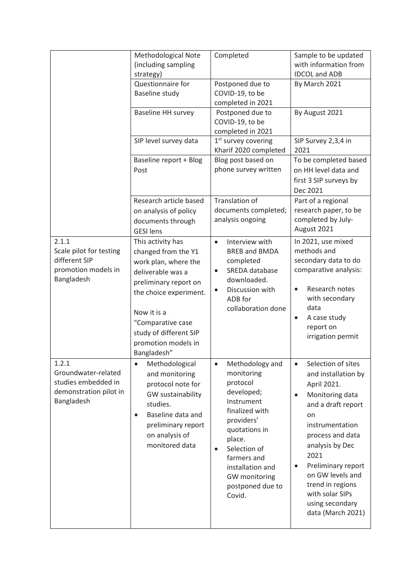|                                                                                             | Methodological Note<br>(including sampling<br>strategy)                                                                                                                                                                                      | Completed                                                                                                                                                                                                                                       | Sample to be updated<br>with information from<br><b>IDCOL and ADB</b>                                                                                                                                                                                                                                                        |
|---------------------------------------------------------------------------------------------|----------------------------------------------------------------------------------------------------------------------------------------------------------------------------------------------------------------------------------------------|-------------------------------------------------------------------------------------------------------------------------------------------------------------------------------------------------------------------------------------------------|------------------------------------------------------------------------------------------------------------------------------------------------------------------------------------------------------------------------------------------------------------------------------------------------------------------------------|
|                                                                                             | Questionnaire for<br>Baseline study                                                                                                                                                                                                          | Postponed due to<br>COVID-19, to be<br>completed in 2021                                                                                                                                                                                        | By March 2021                                                                                                                                                                                                                                                                                                                |
|                                                                                             | <b>Baseline HH survey</b>                                                                                                                                                                                                                    | Postponed due to<br>COVID-19, to be<br>completed in 2021                                                                                                                                                                                        | By August 2021                                                                                                                                                                                                                                                                                                               |
|                                                                                             | SIP level survey data                                                                                                                                                                                                                        | $1st$ survey covering<br>Kharif 2020 completed                                                                                                                                                                                                  | SIP Survey 2,3,4 in<br>2021                                                                                                                                                                                                                                                                                                  |
|                                                                                             | Baseline report + Blog<br>Post                                                                                                                                                                                                               | Blog post based on<br>phone survey written                                                                                                                                                                                                      | To be completed based<br>on HH level data and<br>first 3 SIP surveys by<br>Dec 2021                                                                                                                                                                                                                                          |
|                                                                                             | Research article based<br>on analysis of policy<br>documents through<br><b>GESI</b> lens                                                                                                                                                     | <b>Translation of</b><br>documents completed;<br>analysis ongoing                                                                                                                                                                               | Part of a regional<br>research paper, to be<br>completed by July-<br>August 2021                                                                                                                                                                                                                                             |
| 2.1.1<br>Scale pilot for testing<br>different SIP<br>promotion models in<br>Bangladesh      | This activity has<br>changed from the Y1<br>work plan, where the<br>deliverable was a<br>preliminary report on<br>the choice experiment.<br>Now it is a<br>"Comparative case<br>study of different SIP<br>promotion models in<br>Bangladesh" | Interview with<br>$\bullet$<br><b>BREB and BMDA</b><br>completed<br>SREDA database<br>$\bullet$<br>downloaded.<br>Discussion with<br>$\bullet$<br>ADB for<br>collaboration done                                                                 | In 2021, use mixed<br>methods and<br>secondary data to do<br>comparative analysis:<br>Research notes<br>with secondary<br>data<br>A case study<br>report on<br>irrigation permit                                                                                                                                             |
| 1.2.1<br>Groundwater-related<br>studies embedded in<br>demonstration pilot in<br>Bangladesh | Methodological<br>and monitoring<br>protocol note for<br>GW sustainability<br>studies.<br>Baseline data and<br>$\bullet$<br>preliminary report<br>on analysis of<br>monitored data                                                           | Methodology and<br>monitoring<br>protocol<br>developed;<br>Instrument<br>finalized with<br>providers'<br>quotations in<br>place.<br>Selection of<br>$\bullet$<br>farmers and<br>installation and<br>GW monitoring<br>postponed due to<br>Covid. | Selection of sites<br>and installation by<br>April 2021.<br>Monitoring data<br>$\bullet$<br>and a draft report<br>on<br>instrumentation<br>process and data<br>analysis by Dec<br>2021<br>Preliminary report<br>$\bullet$<br>on GW levels and<br>trend in regions<br>with solar SIPs<br>using secondary<br>data (March 2021) |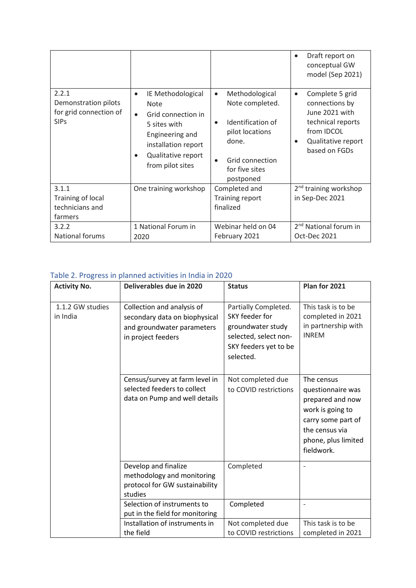|                                                                        |                                                                                                                                                                                      |                                                                                                                                                                | Draft report on<br>$\bullet$<br>conceptual GW<br>model (Sep 2021)                                                                                       |
|------------------------------------------------------------------------|--------------------------------------------------------------------------------------------------------------------------------------------------------------------------------------|----------------------------------------------------------------------------------------------------------------------------------------------------------------|---------------------------------------------------------------------------------------------------------------------------------------------------------|
| 2.2.1<br>Demonstration pilots<br>for grid connection of<br><b>SIPs</b> | IE Methodological<br>$\bullet$<br><b>Note</b><br>Grid connection in<br>$\bullet$<br>5 sites with<br>Engineering and<br>installation report<br>Qualitative report<br>from pilot sites | Methodological<br>$\bullet$<br>Note completed.<br>Identification of<br>$\bullet$<br>pilot locations<br>done.<br>Grid connection<br>for five sites<br>postponed | Complete 5 grid<br>$\bullet$<br>connections by<br>June 2021 with<br>technical reports<br>from IDCOL<br>Qualitative report<br>$\bullet$<br>based on FGDs |
| 3.1.1<br>Training of local<br>technicians and<br>farmers               | One training workshop                                                                                                                                                                | Completed and<br>Training report<br>finalized                                                                                                                  | 2 <sup>nd</sup> training workshop<br>in Sep-Dec 2021                                                                                                    |
| 3.2.2<br><b>National forums</b>                                        | 1 National Forum in<br>2020                                                                                                                                                          | Webinar held on 04<br>February 2021                                                                                                                            | 2 <sup>nd</sup> National forum in<br>Oct-Dec 2021                                                                                                       |

# Table 2. Progress in planned activities in India in 2020

| <b>Activity No.</b>          | Deliverables due in 2020                                                                                        | <b>Status</b>                                                                                                              | Plan for 2021                                                                                                                                        |
|------------------------------|-----------------------------------------------------------------------------------------------------------------|----------------------------------------------------------------------------------------------------------------------------|------------------------------------------------------------------------------------------------------------------------------------------------------|
| 1.1.2 GW studies<br>in India | Collection and analysis of<br>secondary data on biophysical<br>and groundwater parameters<br>in project feeders | Partially Completed.<br>SKY feeder for<br>groundwater study<br>selected, select non-<br>SKY feeders yet to be<br>selected. | This task is to be<br>completed in 2021<br>in partnership with<br><b>INREM</b>                                                                       |
|                              | Census/survey at farm level in<br>selected feeders to collect<br>data on Pump and well details                  | Not completed due<br>to COVID restrictions                                                                                 | The census<br>questionnaire was<br>prepared and now<br>work is going to<br>carry some part of<br>the census via<br>phone, plus limited<br>fieldwork. |
|                              | Develop and finalize<br>methodology and monitoring<br>protocol for GW sustainability<br>studies                 | Completed                                                                                                                  |                                                                                                                                                      |
|                              | Selection of instruments to<br>put in the field for monitoring                                                  | Completed                                                                                                                  |                                                                                                                                                      |
|                              | Installation of instruments in<br>the field                                                                     | Not completed due<br>to COVID restrictions                                                                                 | This task is to be<br>completed in 2021                                                                                                              |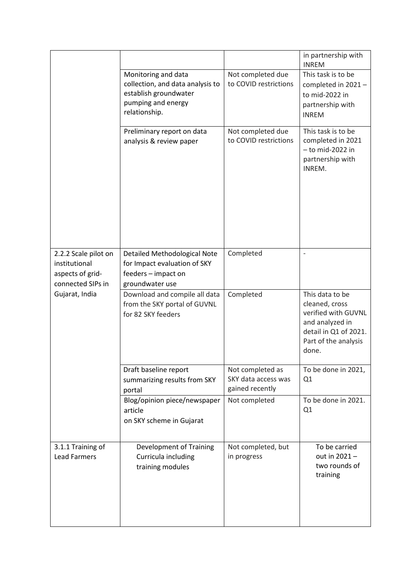|                                                                                |                                                                                                                         |                                                            | in partnership with<br><b>INREM</b>                                                                                                   |
|--------------------------------------------------------------------------------|-------------------------------------------------------------------------------------------------------------------------|------------------------------------------------------------|---------------------------------------------------------------------------------------------------------------------------------------|
|                                                                                | Monitoring and data<br>collection, and data analysis to<br>establish groundwater<br>pumping and energy<br>relationship. | Not completed due<br>to COVID restrictions                 | This task is to be<br>completed in 2021-<br>to mid-2022 in<br>partnership with<br><b>INREM</b>                                        |
|                                                                                | Preliminary report on data<br>analysis & review paper                                                                   | Not completed due<br>to COVID restrictions                 | This task is to be<br>completed in 2021<br>$-$ to mid-2022 in<br>partnership with<br>INREM.                                           |
| 2.2.2 Scale pilot on<br>institutional<br>aspects of grid-<br>connected SIPs in | Detailed Methodological Note<br>for Impact evaluation of SKY<br>feeders - impact on<br>groundwater use                  | Completed                                                  | $\overline{\phantom{0}}$                                                                                                              |
| Gujarat, India                                                                 | Download and compile all data<br>from the SKY portal of GUVNL<br>for 82 SKY feeders                                     | Completed                                                  | This data to be<br>cleaned, cross<br>verified with GUVNL<br>and analyzed in<br>detail in Q1 of 2021.<br>Part of the analysis<br>done. |
|                                                                                | Draft baseline report<br>summarizing results from SKY<br>portal                                                         | Not completed as<br>SKY data access was<br>gained recently | To be done in 2021,<br>Q1                                                                                                             |
|                                                                                | Blog/opinion piece/newspaper<br>article<br>on SKY scheme in Gujarat                                                     | Not completed                                              | To be done in 2021.<br>Q1                                                                                                             |
| 3.1.1 Training of<br><b>Lead Farmers</b>                                       | <b>Development of Training</b><br>Curricula including<br>training modules                                               | Not completed, but<br>in progress                          | To be carried<br>out in 2021-<br>two rounds of<br>training                                                                            |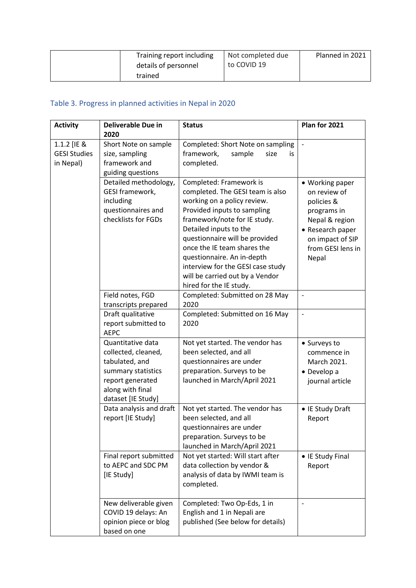| Training report including | Not completed due | Planned in 2021 |
|---------------------------|-------------------|-----------------|
| details of personnel      | to COVID 19       |                 |
| trained                   |                   |                 |

# Table 3. Progress in planned activities in Nepal in 2020

| <b>Activity</b>                                 | <b>Deliverable Due in</b><br>2020                                                                                                                                                    | <b>Status</b>                                                                                                                                                                                                                                                                                                                                                                         | Plan for 2021                                                                                                                                        |
|-------------------------------------------------|--------------------------------------------------------------------------------------------------------------------------------------------------------------------------------------|---------------------------------------------------------------------------------------------------------------------------------------------------------------------------------------------------------------------------------------------------------------------------------------------------------------------------------------------------------------------------------------|------------------------------------------------------------------------------------------------------------------------------------------------------|
| 1.1.2 [IE &<br><b>GESI Studies</b><br>in Nepal) | Short Note on sample<br>size, sampling<br>framework and<br>guiding questions                                                                                                         | Completed: Short Note on sampling<br>framework,<br>sample<br>size<br>is.<br>completed.                                                                                                                                                                                                                                                                                                | $\overline{\phantom{a}}$                                                                                                                             |
|                                                 | Detailed methodology,<br>GESI framework,<br>including<br>questionnaires and<br>checklists for FGDs                                                                                   | Completed: Framework is<br>completed. The GESI team is also<br>working on a policy review.<br>Provided inputs to sampling<br>framework/note for IE study.<br>Detailed inputs to the<br>questionnaire will be provided<br>once the IE team shares the<br>questionnaire. An in-depth<br>interview for the GESI case study<br>will be carried out by a Vendor<br>hired for the IE study. | • Working paper<br>on review of<br>policies &<br>programs in<br>Nepal & region<br>• Research paper<br>on impact of SIP<br>from GESI lens in<br>Nepal |
|                                                 | Field notes, FGD<br>transcripts prepared<br>Draft qualitative                                                                                                                        | Completed: Submitted on 28 May<br>2020<br>Completed: Submitted on 16 May<br>2020                                                                                                                                                                                                                                                                                                      | $\overline{\phantom{a}}$                                                                                                                             |
|                                                 | report submitted to<br><b>AEPC</b><br>Quantitative data<br>collected, cleaned,<br>tabulated, and<br>summary statistics<br>report generated<br>along with final<br>dataset [IE Study] | Not yet started. The vendor has<br>been selected, and all<br>questionnaires are under<br>preparation. Surveys to be<br>launched in March/April 2021                                                                                                                                                                                                                                   | • Surveys to<br>commence in<br>March 2021.<br>• Develop a<br>journal article                                                                         |
|                                                 | Data analysis and draft<br>report [IE Study]                                                                                                                                         | Not yet started. The vendor has<br>been selected, and all<br>questionnaires are under<br>preparation. Surveys to be<br>launched in March/April 2021                                                                                                                                                                                                                                   | • IE Study Draft<br>Report                                                                                                                           |
|                                                 | Final report submitted<br>to AEPC and SDC PM<br>[IE Study]                                                                                                                           | Not yet started: Will start after<br>data collection by vendor &<br>analysis of data by IWMI team is<br>completed.                                                                                                                                                                                                                                                                    | • IE Study Final<br>Report                                                                                                                           |
|                                                 | New deliverable given<br>COVID 19 delays: An<br>opinion piece or blog<br>based on one                                                                                                | Completed: Two Op-Eds, 1 in<br>English and 1 in Nepali are<br>published (See below for details)                                                                                                                                                                                                                                                                                       |                                                                                                                                                      |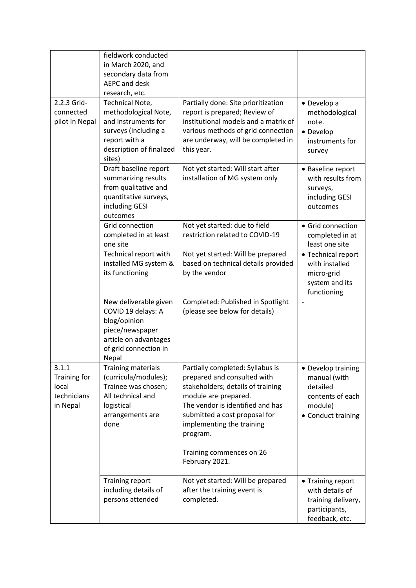|                                                           | fieldwork conducted<br>in March 2020, and<br>secondary data from<br><b>AEPC and desk</b><br>research, etc.                                           |                                                                                                                                                                                                                                                                        |                                                                                                     |
|-----------------------------------------------------------|------------------------------------------------------------------------------------------------------------------------------------------------------|------------------------------------------------------------------------------------------------------------------------------------------------------------------------------------------------------------------------------------------------------------------------|-----------------------------------------------------------------------------------------------------|
| 2.2.3 Grid-<br>connected<br>pilot in Nepal                | <b>Technical Note,</b><br>methodological Note,<br>and instruments for<br>surveys (including a<br>report with a<br>description of finalized<br>sites) | Partially done: Site prioritization<br>report is prepared; Review of<br>institutional models and a matrix of<br>various methods of grid connection<br>are underway, will be completed in<br>this year.                                                                 | • Develop a<br>methodological<br>note.<br>• Develop<br>instruments for<br>survey                    |
|                                                           | Draft baseline report<br>summarizing results<br>from qualitative and<br>quantitative surveys,<br>including GESI<br>outcomes                          | Not yet started: Will start after<br>installation of MG system only                                                                                                                                                                                                    | • Baseline report<br>with results from<br>surveys,<br>including GESI<br>outcomes                    |
|                                                           | Grid connection<br>completed in at least<br>one site                                                                                                 | Not yet started: due to field<br>restriction related to COVID-19                                                                                                                                                                                                       | • Grid connection<br>completed in at<br>least one site                                              |
|                                                           | Technical report with<br>installed MG system &<br>its functioning                                                                                    | Not yet started: Will be prepared<br>based on technical details provided<br>by the vendor                                                                                                                                                                              | • Technical report<br>with installed<br>micro-grid<br>system and its<br>functioning                 |
|                                                           | New deliverable given<br>COVID 19 delays: A<br>blog/opinion<br>piece/newspaper<br>article on advantages<br>of grid connection in<br>Nepal            | Completed: Published in Spotlight<br>(please see below for details)                                                                                                                                                                                                    |                                                                                                     |
| 3.1.1<br>Training for<br>local<br>technicians<br>in Nepal | <b>Training materials</b><br>(curricula/modules);<br>Trainee was chosen;<br>All technical and<br>logistical<br>arrangements are<br>done              | Partially completed: Syllabus is<br>prepared and consulted with<br>stakeholders; details of training<br>module are prepared.<br>The vendor is identified and has<br>submitted a cost proposal for<br>implementing the training<br>program.<br>Training commences on 26 | • Develop training<br>manual (with<br>detailed<br>contents of each<br>module)<br>• Conduct training |
|                                                           |                                                                                                                                                      | February 2021.                                                                                                                                                                                                                                                         |                                                                                                     |
|                                                           | <b>Training report</b><br>including details of<br>persons attended                                                                                   | Not yet started: Will be prepared<br>after the training event is<br>completed.                                                                                                                                                                                         | • Training report<br>with details of<br>training delivery,<br>participants,<br>feedback, etc.       |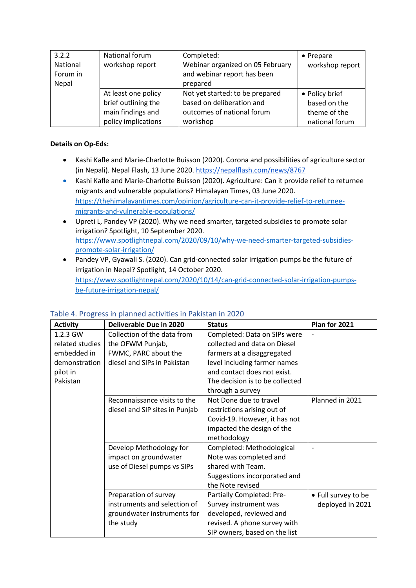| 3.2.2<br>National<br>Forum in<br>Nepal | National forum<br>workshop report | Completed:<br>Webinar organized on 05 February<br>and webinar report has been<br>prepared | $\bullet$ Prepare<br>workshop report |
|----------------------------------------|-----------------------------------|-------------------------------------------------------------------------------------------|--------------------------------------|
|                                        | At least one policy               | Not yet started: to be prepared                                                           | • Policy brief                       |
|                                        | brief outlining the               | based on deliberation and                                                                 | based on the                         |
|                                        | main findings and                 | outcomes of national forum                                                                | theme of the                         |
|                                        | policy implications               | workshop                                                                                  | national forum                       |

#### **Details on Op-Eds:**

- Kashi Kafle and Marie-Charlotte Buisson (2020). Corona and possibilities of agriculture sector (in Nepali). Nepal Flash, 13 June 2020[. https://nepalflash.com/news/8767](https://nepalflash.com/news/8767)
- Kashi Kafle and Marie-Charlotte Buisson (2020). Agriculture: Can it provide relief to returnee migrants and vulnerable populations? Himalayan Times, 03 June 2020. [https://thehimalayantimes.com/opinion/agriculture-can-it-provide-relief-to-returnee](https://thehimalayantimes.com/opinion/agriculture-can-it-provide-relief-to-returnee-migrants-and-vulnerable-populations/)[migrants-and-vulnerable-populations/](https://thehimalayantimes.com/opinion/agriculture-can-it-provide-relief-to-returnee-migrants-and-vulnerable-populations/)
- Upreti L, Pandey VP (2020). Why we need smarter, targeted subsidies to promote solar irrigation? Spotlight, 10 September 2020. [https://www.spotlightnepal.com/2020/09/10/why-we-need-smarter-targeted-subsidies](https://www.spotlightnepal.com/2020/09/10/why-we-need-smarter-targeted-subsidies-promote-solar-irrigation/)[promote-solar-irrigation/](https://www.spotlightnepal.com/2020/09/10/why-we-need-smarter-targeted-subsidies-promote-solar-irrigation/)
- Pandey VP, Gyawali S. (2020). Can grid-connected solar irrigation pumps be the future of irrigation in Nepal? Spotlight, 14 October 2020. [https://www.spotlightnepal.com/2020/10/14/can-grid-connected-solar-irrigation-pumps](https://www.spotlightnepal.com/2020/10/14/can-grid-connected-solar-irrigation-pumps-be-future-irrigation-nepal/)[be-future-irrigation-nepal/](https://www.spotlightnepal.com/2020/10/14/can-grid-connected-solar-irrigation-pumps-be-future-irrigation-nepal/)

| <b>Activity</b> | Deliverable Due in 2020        | <b>Status</b>                   | Plan for 2021       |
|-----------------|--------------------------------|---------------------------------|---------------------|
| 1.2.3 GW        | Collection of the data from    | Completed: Data on SIPs were    |                     |
| related studies | the OFWM Punjab,               | collected and data on Diesel    |                     |
| embedded in     | FWMC, PARC about the           | farmers at a disaggregated      |                     |
| demonstration   | diesel and SIPs in Pakistan    | level including farmer names    |                     |
| pilot in        |                                | and contact does not exist.     |                     |
| Pakistan        |                                | The decision is to be collected |                     |
|                 |                                | through a survey                |                     |
|                 | Reconnaissance visits to the   | Not Done due to travel          | Planned in 2021     |
|                 | diesel and SIP sites in Punjab | restrictions arising out of     |                     |
|                 |                                | Covid-19. However, it has not   |                     |
|                 |                                | impacted the design of the      |                     |
|                 |                                | methodology                     |                     |
|                 | Develop Methodology for        | Completed: Methodological       |                     |
|                 | impact on groundwater          | Note was completed and          |                     |
|                 | use of Diesel pumps vs SIPs    | shared with Team.               |                     |
|                 |                                | Suggestions incorporated and    |                     |
|                 |                                | the Note revised                |                     |
|                 | Preparation of survey          | Partially Completed: Pre-       | • Full survey to be |
|                 | instruments and selection of   | Survey instrument was           | deployed in 2021    |
|                 | groundwater instruments for    | developed, reviewed and         |                     |
|                 | the study                      | revised. A phone survey with    |                     |
|                 |                                | SIP owners, based on the list   |                     |

## Table 4. Progress in planned activities in Pakistan in 2020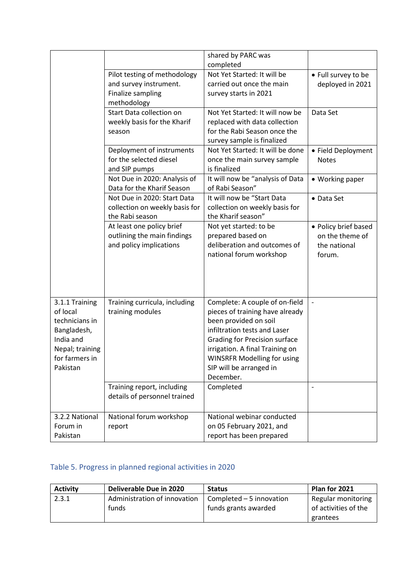|                                                                                                                           |                                                                                            | shared by PARC was<br>completed                                                                                                                                                                                                                                              |                                                                   |
|---------------------------------------------------------------------------------------------------------------------------|--------------------------------------------------------------------------------------------|------------------------------------------------------------------------------------------------------------------------------------------------------------------------------------------------------------------------------------------------------------------------------|-------------------------------------------------------------------|
|                                                                                                                           | Pilot testing of methodology<br>and survey instrument.<br>Finalize sampling<br>methodology | Not Yet Started: It will be<br>carried out once the main<br>survey starts in 2021                                                                                                                                                                                            | • Full survey to be<br>deployed in 2021                           |
|                                                                                                                           | Start Data collection on<br>weekly basis for the Kharif<br>season                          | Not Yet Started: It will now be<br>replaced with data collection<br>for the Rabi Season once the<br>survey sample is finalized                                                                                                                                               | Data Set                                                          |
|                                                                                                                           | Deployment of instruments<br>for the selected diesel<br>and SIP pumps                      | Not Yet Started: It will be done<br>once the main survey sample<br>is finalized                                                                                                                                                                                              | • Field Deployment<br><b>Notes</b>                                |
|                                                                                                                           | Not Due in 2020: Analysis of<br>Data for the Kharif Season                                 | It will now be "analysis of Data<br>of Rabi Season"                                                                                                                                                                                                                          | • Working paper                                                   |
|                                                                                                                           | Not Due in 2020: Start Data<br>collection on weekly basis for<br>the Rabi season           | It will now be "Start Data<br>collection on weekly basis for<br>the Kharif season"                                                                                                                                                                                           | • Data Set                                                        |
|                                                                                                                           | At least one policy brief<br>outlining the main findings<br>and policy implications        | Not yet started: to be<br>prepared based on<br>deliberation and outcomes of<br>national forum workshop                                                                                                                                                                       | • Policy brief based<br>on the theme of<br>the national<br>forum. |
| 3.1.1 Training<br>of local<br>technicians in<br>Bangladesh,<br>India and<br>Nepal; training<br>for farmers in<br>Pakistan | Training curricula, including<br>training modules                                          | Complete: A couple of on-field<br>pieces of training have already<br>been provided on soil<br>infiltration tests and Laser<br><b>Grading for Precision surface</b><br>irrigation. A final Training on<br>WINSRFR Modelling for using<br>SIP will be arranged in<br>December. | $\blacksquare$                                                    |
|                                                                                                                           | Training report, including<br>details of personnel trained                                 | Completed                                                                                                                                                                                                                                                                    | $\blacksquare$                                                    |
| 3.2.2 National<br>Forum in<br>Pakistan                                                                                    | National forum workshop<br>report                                                          | National webinar conducted<br>on 05 February 2021, and<br>report has been prepared                                                                                                                                                                                           |                                                                   |

# Table 5. Progress in planned regional activities in 2020

| <b>Activity</b> | Deliverable Due in 2020      | <b>Status</b>             | Plan for 2021        |
|-----------------|------------------------------|---------------------------|----------------------|
| 2.3.1           | Administration of innovation | Completed $-5$ innovation | Regular monitoring   |
|                 | funds                        | funds grants awarded      | of activities of the |
|                 |                              |                           | grantees             |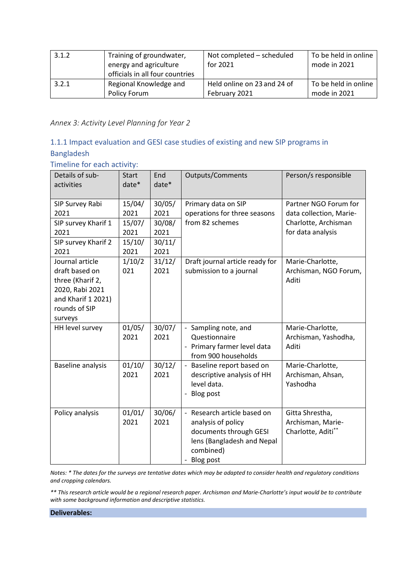| 3.1.2 | Training of groundwater,<br>energy and agriculture<br>officials in all four countries | Not completed - scheduled<br>for 2021 | To be held in online<br>mode in 2021 |
|-------|---------------------------------------------------------------------------------------|---------------------------------------|--------------------------------------|
| 3.2.1 | Regional Knowledge and                                                                | Held online on 23 and 24 of           | To be held in online                 |
|       | Policy Forum                                                                          | February 2021                         | mode in 2021                         |

*Annex 3: Activity Level Planning for Year 2*

# 1.1.1 Impact evaluation and GESI case studies of existing and new SIP programs in Bangladesh

Timeline for each activity:

| Details of sub-<br>activities                                                                                              | <b>Start</b><br>$date*$                            | End<br>date*                                       | <b>Outputs/Comments</b>                                                                                                             | Person/s responsible                                                                          |
|----------------------------------------------------------------------------------------------------------------------------|----------------------------------------------------|----------------------------------------------------|-------------------------------------------------------------------------------------------------------------------------------------|-----------------------------------------------------------------------------------------------|
| SIP Survey Rabi<br>2021<br>SIP survey Kharif 1<br>2021<br>SIP survey Kharif 2<br>2021                                      | 15/04/<br>2021<br>15/07/<br>2021<br>15/10/<br>2021 | 30/05/<br>2021<br>30/08/<br>2021<br>30/11/<br>2021 | Primary data on SIP<br>operations for three seasons<br>from 82 schemes                                                              | Partner NGO Forum for<br>data collection, Marie-<br>Charlotte, Archisman<br>for data analysis |
| Journal article<br>draft based on<br>three (Kharif 2,<br>2020, Rabi 2021<br>and Kharif 1 2021)<br>rounds of SIP<br>surveys | 1/10/2<br>021                                      | 31/12/<br>2021                                     | Draft journal article ready for<br>submission to a journal                                                                          | Marie-Charlotte,<br>Archisman, NGO Forum,<br>Aditi                                            |
| HH level survey                                                                                                            | 01/05/<br>2021                                     | 30/07/<br>2021                                     | - Sampling note, and<br>Questionnaire<br>- Primary farmer level data<br>from 900 households                                         | Marie-Charlotte,<br>Archisman, Yashodha,<br>Aditi                                             |
| <b>Baseline analysis</b>                                                                                                   | 01/10/<br>2021                                     | 30/12/<br>2021                                     | - Baseline report based on<br>descriptive analysis of HH<br>level data.<br>- Blog post                                              | Marie-Charlotte,<br>Archisman, Ahsan,<br>Yashodha                                             |
| Policy analysis                                                                                                            | 01/01/<br>2021                                     | 30/06/<br>2021                                     | - Research article based on<br>analysis of policy<br>documents through GESI<br>lens (Bangladesh and Nepal<br>combined)<br>Blog post | Gitta Shrestha,<br>Archisman, Marie-<br>Charlotte, Aditi**                                    |

*Notes: \* The dates for the surveys are tentative dates which may be adapted to consider health and regulatory conditions and cropping calendars.* 

*\*\* This research article would be a regional research paper. Archisman and Marie-Charlotte's input would be to contribute with some background information and descriptive statistics.*

**Deliverables:**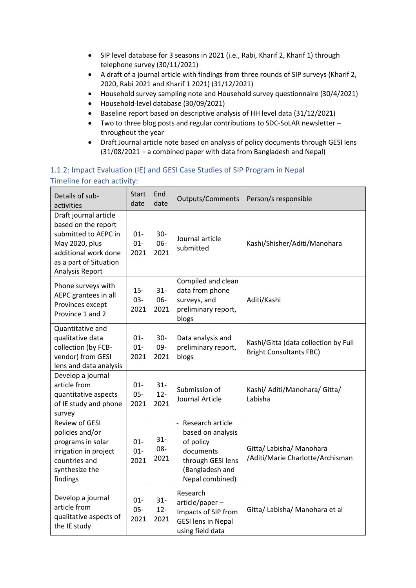- SIP level database for 3 seasons in 2021 (i.e., Rabi, Kharif 2, Kharif 1) through telephone survey (30/11/2021)
- A draft of a journal article with findings from three rounds of SIP surveys (Kharif 2, 2020, Rabi 2021 and Kharif 1 2021) (31/12/2021)
- Household survey sampling note and Household survey questionnaire (30/4/2021)
- Household-level database (30/09/2021)
- Baseline report based on descriptive analysis of HH level data (31/12/2021)
- Two to three blog posts and regular contributions to SDC-SoLAR newsletter throughout the year
- Draft Journal article note based on analysis of policy documents through GESI lens (31/08/2021 – a combined paper with data from Bangladesh and Nepal)

# 1.1.2: Impact Evaluation (IE) and GESI Case Studies of SIP Program in Nepal Timeline for each activity:

| Details of sub-<br>activities                                                                                                                               | <b>Start</b><br>date     | End<br>date              | Outputs/Comments                                                                                                             | Person/s responsible                                                   |
|-------------------------------------------------------------------------------------------------------------------------------------------------------------|--------------------------|--------------------------|------------------------------------------------------------------------------------------------------------------------------|------------------------------------------------------------------------|
| Draft journal article<br>based on the report<br>submitted to AEPC in<br>May 2020, plus<br>additional work done<br>as a part of Situation<br>Analysis Report | $01 -$<br>$01 -$<br>2021 | $30-$<br>06-<br>2021     | Journal article<br>submitted                                                                                                 | Kashi/Shisher/Aditi/Manohara                                           |
| Phone surveys with<br>AEPC grantees in all<br>Provinces except<br>Province 1 and 2                                                                          | $15 -$<br>$03 -$<br>2021 | $31 -$<br>06-<br>2021    | Compiled and clean<br>data from phone<br>surveys, and<br>preliminary report,<br>blogs                                        | Aditi/Kashi                                                            |
| Quantitative and<br>qualitative data<br>collection (by FCB-<br>vendor) from GESI<br>lens and data analysis                                                  | $01 -$<br>$01 -$<br>2021 | $30 -$<br>09-<br>2021    | Data analysis and<br>preliminary report,<br>blogs                                                                            | Kashi/Gitta (data collection by Full<br><b>Bright Consultants FBC)</b> |
| Develop a journal<br>article from<br>quantitative aspects<br>of IE study and phone<br>survey                                                                | $01 -$<br>$05 -$<br>2021 | $31 -$<br>$12 -$<br>2021 | Submission of<br><b>Journal Article</b>                                                                                      | Kashi/ Aditi/Manohara/ Gitta/<br>Labisha                               |
| <b>Review of GESI</b><br>policies and/or<br>programs in solar<br>irrigation in project<br>countries and<br>synthesize the<br>findings                       | $01 -$<br>$01 -$<br>2021 | $31 -$<br>08-<br>2021    | - Research article<br>based on analysis<br>of policy<br>documents<br>through GESI lens<br>(Bangladesh and<br>Nepal combined) | Gitta/ Labisha/ Manohara<br>/Aditi/Marie Charlotte/Archisman           |
| Develop a journal<br>article from<br>qualitative aspects of<br>the IE study                                                                                 | $01 -$<br>$05 -$<br>2021 | $31 -$<br>$12 -$<br>2021 | Research<br>article/paper-<br>Impacts of SIP from<br><b>GESI lens in Nepal</b><br>using field data                           | Gitta/ Labisha/ Manohara et al                                         |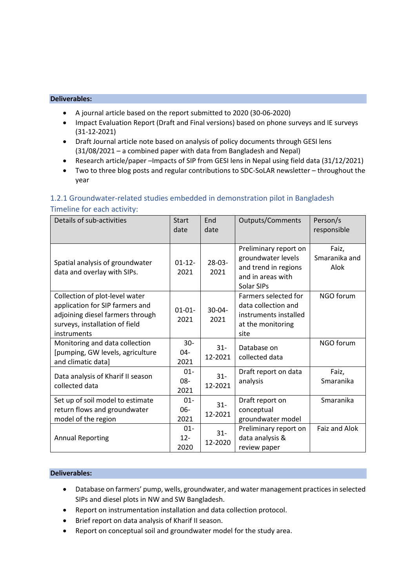- A journal article based on the report submitted to 2020 (30-06-2020)
- Impact Evaluation Report (Draft and Final versions) based on phone surveys and IE surveys (31-12-2021)
- Draft Journal article note based on analysis of policy documents through GESI lens (31/08/2021 – a combined paper with data from Bangladesh and Nepal)
- Research article/paper –Impacts of SIP from GESI lens in Nepal using field data (31/12/2021)
- Two to three blog posts and regular contributions to SDC-SoLAR newsletter throughout the year

| Timeline for each activity:                                                                                                                            |                          |                     |                                                                                                        |                                |
|--------------------------------------------------------------------------------------------------------------------------------------------------------|--------------------------|---------------------|--------------------------------------------------------------------------------------------------------|--------------------------------|
| Details of sub-activities                                                                                                                              | <b>Start</b><br>date     | End<br>date         | <b>Outputs/Comments</b>                                                                                | Person/s<br>responsible        |
| Spatial analysis of groundwater<br>data and overlay with SIPs.                                                                                         | $01-12-$<br>2021         | $28-03-$<br>2021    | Preliminary report on<br>groundwater levels<br>and trend in regions<br>and in areas with<br>Solar SIPs | Faiz,<br>Smaranika and<br>Alok |
| Collection of plot-level water<br>application for SIP farmers and<br>adjoining diesel farmers through<br>surveys, installation of field<br>instruments | $01 - 01 -$<br>2021      | $30 - 04 -$<br>2021 | Farmers selected for<br>data collection and<br>instruments installed<br>at the monitoring<br>site      | NGO forum                      |
| Monitoring and data collection<br>[pumping, GW levels, agriculture<br>and climatic data]                                                               | $30-$<br>04-<br>2021     | $31 -$<br>12-2021   | Database on<br>collected data                                                                          | NGO forum                      |
| Data analysis of Kharif II season<br>collected data                                                                                                    | $01 -$<br>$08 -$<br>2021 | $31 -$<br>12-2021   | Draft report on data<br>analysis                                                                       | Faiz,<br>Smaranika             |
| Set up of soil model to estimate<br>return flows and groundwater<br>model of the region                                                                | $01 -$<br>06-<br>2021    | $31 -$<br>12-2021   | Draft report on<br>conceptual<br>groundwater model                                                     | Smaranika                      |
| <b>Annual Reporting</b>                                                                                                                                | $01 -$<br>$12 -$<br>2020 | $31 -$<br>12-2020   | Preliminary report on<br>data analysis &<br>review paper                                               | <b>Faiz and Alok</b>           |

# 1.2.1 Groundwater-related studies embedded in demonstration pilot in Bangladesh Timeline for each activity:

#### **Deliverables:**

- Database on farmers' pump, wells, groundwater, and water management practices in selected SIPs and diesel plots in NW and SW Bangladesh.
- Report on instrumentation installation and data collection protocol.
- Brief report on data analysis of Kharif II season.
- Report on conceptual soil and groundwater model for the study area.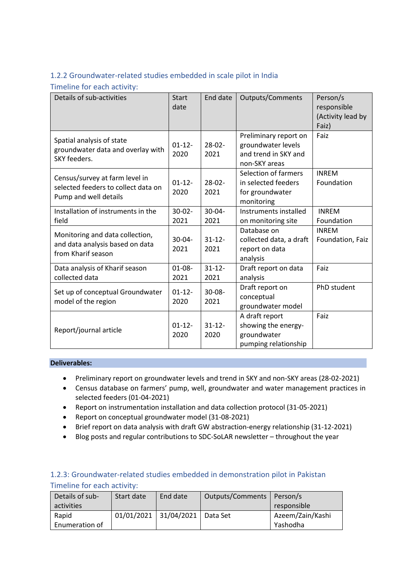# 1.2.2 Groundwater-related studies embedded in scale pilot in India

Timeline for each activity:

| Details of sub-activities                                                                      | <b>Start</b><br>date | End date            | <b>Outputs/Comments</b>                                                              | Person/s<br>responsible<br>(Activity lead by<br>Faiz) |
|------------------------------------------------------------------------------------------------|----------------------|---------------------|--------------------------------------------------------------------------------------|-------------------------------------------------------|
| Spatial analysis of state<br>groundwater data and overlay with<br>SKY feeders.                 | $01-12-$<br>2020     | $28-02-$<br>2021    | Preliminary report on<br>groundwater levels<br>and trend in SKY and<br>non-SKY areas | Faiz                                                  |
| Census/survey at farm level in<br>selected feeders to collect data on<br>Pump and well details | $01-12-$<br>2020     | $28 - 02 -$<br>2021 | Selection of farmers<br>in selected feeders<br>for groundwater<br>monitoring         | <b>INREM</b><br>Foundation                            |
| Installation of instruments in the<br>field                                                    | $30 - 02 -$<br>2021  | $30 - 04 -$<br>2021 | Instruments installed<br>on monitoring site                                          | <b>INREM</b><br>Foundation                            |
| Monitoring and data collection,<br>and data analysis based on data<br>from Kharif season       | $30 - 04 -$<br>2021  | $31 - 12 -$<br>2021 | Database on<br>collected data, a draft<br>report on data<br>analysis                 | <b>INREM</b><br>Foundation, Faiz                      |
| Data analysis of Kharif season<br>collected data                                               | $01 - 08 -$<br>2021  | $31 - 12 -$<br>2021 | Draft report on data<br>analysis                                                     | Faiz                                                  |
| Set up of conceptual Groundwater<br>model of the region                                        | $01-12-$<br>2020     | $30 - 08 -$<br>2021 | Draft report on<br>conceptual<br>groundwater model                                   | PhD student                                           |
| Report/journal article                                                                         | $01-12-$<br>2020     | $31 - 12 -$<br>2020 | A draft report<br>showing the energy-<br>groundwater<br>pumping relationship         | Faiz                                                  |

#### **Deliverables:**

- Preliminary report on groundwater levels and trend in SKY and non-SKY areas (28-02-2021)
- Census database on farmers' pump, well, groundwater and water management practices in selected feeders (01-04-2021)
- Report on instrumentation installation and data collection protocol (31-05-2021)
- Report on conceptual groundwater model (31-08-2021)
- Brief report on data analysis with draft GW abstraction-energy relationship (31-12-2021)
- Blog posts and regular contributions to SDC-SoLAR newsletter throughout the year

# 1.2.3: Groundwater-related studies embedded in demonstration pilot in Pakistan Timeline for each activity:

| Details of sub- | Start date | End date              | Outputs/Comments   Person/s |                  |
|-----------------|------------|-----------------------|-----------------------------|------------------|
| activities      |            |                       |                             | responsible      |
| Rapid           |            | 01/01/2021 31/04/2021 | l Data Set                  | Azeem/Zain/Kashi |
| Enumeration of  |            |                       |                             | Yashodha         |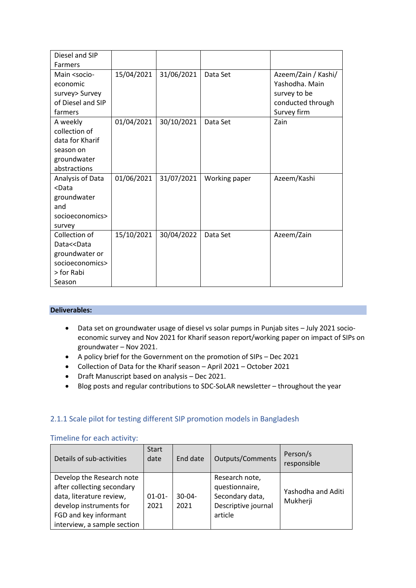| Diesel and SIP                                                                                                                       |            |            |               |                                       |
|--------------------------------------------------------------------------------------------------------------------------------------|------------|------------|---------------|---------------------------------------|
| <b>Farmers</b>                                                                                                                       |            |            |               |                                       |
| Main <socio-< td=""><td>15/04/2021</td><td>31/06/2021</td><td>Data Set</td><td>Azeem/Zain / Kashi/<br/>Yashodha. Main</td></socio-<> | 15/04/2021 | 31/06/2021 | Data Set      | Azeem/Zain / Kashi/<br>Yashodha. Main |
| economic                                                                                                                             |            |            |               |                                       |
| survey> Survey<br>of Diesel and SIP                                                                                                  |            |            |               | survey to be                          |
| farmers                                                                                                                              |            |            |               | conducted through<br>Survey firm      |
| A weekly                                                                                                                             | 01/04/2021 | 30/10/2021 | Data Set      | Zain                                  |
| collection of                                                                                                                        |            |            |               |                                       |
| data for Kharif                                                                                                                      |            |            |               |                                       |
| season on                                                                                                                            |            |            |               |                                       |
| groundwater                                                                                                                          |            |            |               |                                       |
| abstractions                                                                                                                         |            |            |               |                                       |
| Analysis of Data                                                                                                                     | 01/06/2021 | 31/07/2021 | Working paper | Azeem/Kashi                           |
| <data< td=""><td></td><td></td><td></td><td></td></data<>                                                                            |            |            |               |                                       |
| groundwater                                                                                                                          |            |            |               |                                       |
| and                                                                                                                                  |            |            |               |                                       |
| socioeconomics>                                                                                                                      |            |            |               |                                       |
| survey                                                                                                                               |            |            |               |                                       |
| Collection of                                                                                                                        | 15/10/2021 | 30/04/2022 | Data Set      | Azeem/Zain                            |
| Data< <data< td=""><td></td><td></td><td></td><td></td></data<>                                                                      |            |            |               |                                       |
| groundwater or                                                                                                                       |            |            |               |                                       |
| socioeconomics>                                                                                                                      |            |            |               |                                       |
| > for Rabi                                                                                                                           |            |            |               |                                       |
| Season                                                                                                                               |            |            |               |                                       |

- Data set on groundwater usage of diesel vs solar pumps in Punjab sites July 2021 socioeconomic survey and Nov 2021 for Kharif season report/working paper on impact of SIPs on groundwater – Nov 2021.
- A policy brief for the Government on the promotion of SIPs Dec 2021
- Collection of Data for the Kharif season April 2021 October 2021
- Draft Manuscript based on analysis Dec 2021.
- Blog posts and regular contributions to SDC-SoLAR newsletter throughout the year

#### 2.1.1 Scale pilot for testing different SIP promotion models in Bangladesh

| Details of sub-activities                                                                                                                                              | <b>Start</b><br>date | End date         | <b>Outputs/Comments</b>                                                               | Person/s<br>responsible        |
|------------------------------------------------------------------------------------------------------------------------------------------------------------------------|----------------------|------------------|---------------------------------------------------------------------------------------|--------------------------------|
| Develop the Research note<br>after collecting secondary<br>data, literature review,<br>develop instruments for<br>FGD and key informant<br>interview, a sample section | $01 - 01 -$<br>2021  | $30-04-$<br>2021 | Research note,<br>questionnaire,<br>Secondary data,<br>Descriptive journal<br>article | Yashodha and Aditi<br>Mukherji |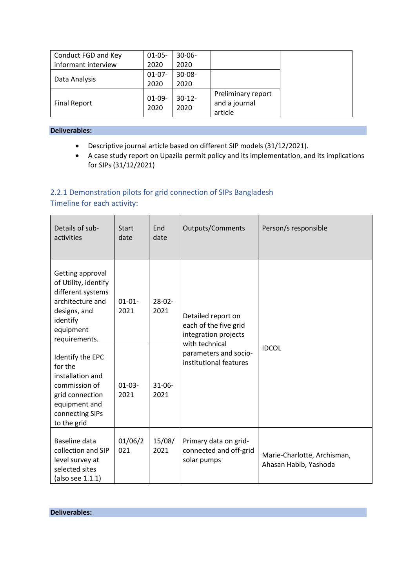| Conduct FGD and Key | $01-05-$ | $30 - 06 -$ |                    |
|---------------------|----------|-------------|--------------------|
| informant interview | 2020     | 2020        |                    |
|                     | $01-07-$ | $30 - 08 -$ |                    |
| Data Analysis       | 2020     | 2020        |                    |
|                     | $01-09-$ | $30-12-$    | Preliminary report |
| <b>Final Report</b> | 2020     | 2020        | and a journal      |
|                     |          |             | article            |

- Descriptive journal article based on different SIP models (31/12/2021).
- A case study report on Upazila permit policy and its implementation, and its implications for SIPs (31/12/2021)

# 2.2.1 Demonstration pilots for grid connection of SIPs Bangladesh

Timeline for each activity:

| Details of sub-<br>activities                                                                                                               | <b>Start</b><br>date | End<br>date         | Outputs/Comments                                                                      | Person/s responsible                                 |
|---------------------------------------------------------------------------------------------------------------------------------------------|----------------------|---------------------|---------------------------------------------------------------------------------------|------------------------------------------------------|
| Getting approval<br>of Utility, identify<br>different systems<br>architecture and<br>designs, and<br>identify<br>equipment<br>requirements. | $01 - 01 -$<br>2021  | $28-02-$<br>2021    | Detailed report on<br>each of the five grid<br>integration projects<br>with technical |                                                      |
| Identify the EPC<br>for the<br>installation and<br>commission of<br>grid connection<br>equipment and<br>connecting SIPs<br>to the grid      | $01-03-$<br>2021     | $31 - 06 -$<br>2021 | parameters and socio-<br>institutional features                                       | <b>IDCOL</b>                                         |
| Baseline data<br>collection and SIP<br>level survey at<br>selected sites<br>(also see 1.1.1)                                                | 01/06/2<br>021       | 15/08/<br>2021      | Primary data on grid-<br>connected and off-grid<br>solar pumps                        | Marie-Charlotte, Archisman,<br>Ahasan Habib, Yashoda |

**Deliverables:**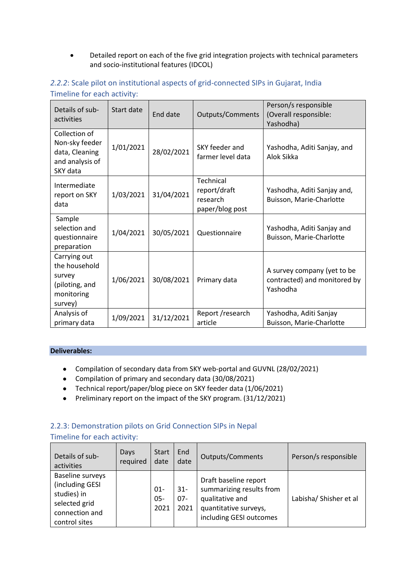• Detailed report on each of the five grid integration projects with technical parameters and socio-institutional features (IDCOL)

| Details of sub-<br>activities                                                      | Start date | End date   | Outputs/Comments                                                | Person/s responsible<br>(Overall responsible:<br>Yashodha)              |
|------------------------------------------------------------------------------------|------------|------------|-----------------------------------------------------------------|-------------------------------------------------------------------------|
| Collection of<br>Non-sky feeder<br>data, Cleaning<br>and analysis of<br>SKY data   | 1/01/2021  | 28/02/2021 | SKY feeder and<br>farmer level data                             | Yashodha, Aditi Sanjay, and<br>Alok Sikka                               |
| Intermediate<br>report on SKY<br>data                                              | 1/03/2021  | 31/04/2021 | <b>Technical</b><br>report/draft<br>research<br>paper/blog post | Yashodha, Aditi Sanjay and,<br>Buisson, Marie-Charlotte                 |
| Sample<br>selection and<br>questionnaire<br>preparation                            | 1/04/2021  | 30/05/2021 | Questionnaire                                                   | Yashodha, Aditi Sanjay and<br>Buisson, Marie-Charlotte                  |
| Carrying out<br>the household<br>survey<br>(piloting, and<br>monitoring<br>survey) | 1/06/2021  | 30/08/2021 | Primary data                                                    | A survey company (yet to be<br>contracted) and monitored by<br>Yashodha |
| Analysis of<br>primary data                                                        | 1/09/2021  | 31/12/2021 | Report / research<br>article                                    | Yashodha, Aditi Sanjay<br>Buisson, Marie-Charlotte                      |

# *2.2.2*: Scale pilot on institutional aspects of grid-connected SIPs in Gujarat, India Timeline for each activity:

### **Deliverables:**

- Compilation of secondary data from SKY web-portal and GUVNL (28/02/2021)
- Compilation of primary and secondary data (30/08/2021)
- Technical report/paper/blog piece on SKY feeder data (1/06/2021)
- Preliminary report on the impact of the SKY program. (31/12/2021)

## 2.2.3: Demonstration pilots on Grid Connection SIPs in Nepal

| Details of sub-<br>activities                                                                                 | Days<br>required | <b>Start</b><br>date  | End<br>date              | <b>Outputs/Comments</b>                                                                                                  | Person/s responsible   |
|---------------------------------------------------------------------------------------------------------------|------------------|-----------------------|--------------------------|--------------------------------------------------------------------------------------------------------------------------|------------------------|
| <b>Baseline surveys</b><br>(including GESI<br>studies) in<br>selected grid<br>connection and<br>control sites |                  | $01 -$<br>05-<br>2021 | $31 -$<br>$07 -$<br>2021 | Draft baseline report<br>summarizing results from<br>qualitative and<br>quantitative surveys,<br>including GESI outcomes | Labisha/ Shisher et al |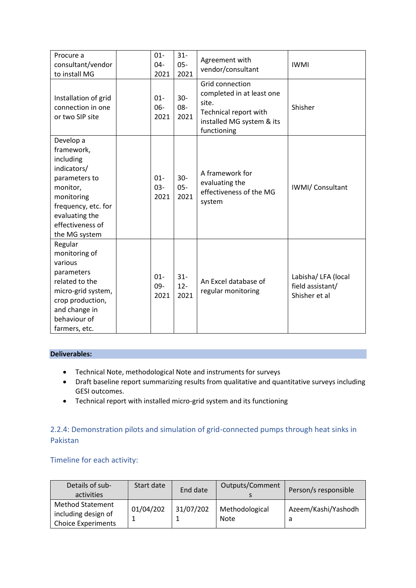| Procure a<br>consultant/vendor<br>to install MG                                                                                                                              | $01 -$<br>$04 -$<br>2021 | $31 -$<br>$05 -$<br>2021 | Agreement with<br>vendor/consultant                                                                                        | <b>IWMI</b>                                              |
|------------------------------------------------------------------------------------------------------------------------------------------------------------------------------|--------------------------|--------------------------|----------------------------------------------------------------------------------------------------------------------------|----------------------------------------------------------|
| Installation of grid<br>connection in one<br>or two SIP site                                                                                                                 | $01 -$<br>$06 -$<br>2021 | $30 -$<br>08-<br>2021    | Grid connection<br>completed in at least one<br>site.<br>Technical report with<br>installed MG system & its<br>functioning | Shisher                                                  |
| Develop a<br>framework,<br>including<br>indicators/<br>parameters to<br>monitor,<br>monitoring<br>frequency, etc. for<br>evaluating the<br>effectiveness of<br>the MG system | $01 -$<br>$03 -$<br>2021 | $30 -$<br>$05 -$<br>2021 | A framework for<br>evaluating the<br>effectiveness of the MG<br>system                                                     | IWMI/Consultant                                          |
| Regular<br>monitoring of<br>various<br>parameters<br>related to the<br>micro-grid system,<br>crop production,<br>and change in<br>behaviour of<br>farmers, etc.              | $01 -$<br>$09 -$<br>2021 | $31 -$<br>$12 -$<br>2021 | An Excel database of<br>regular monitoring                                                                                 | Labisha/ LFA (local<br>field assistant/<br>Shisher et al |

- Technical Note, methodological Note and instruments for surveys
- Draft baseline report summarizing results from qualitative and quantitative surveys including GESI outcomes.
- Technical report with installed micro-grid system and its functioning

## 2.2.4: Demonstration pilots and simulation of grid-connected pumps through heat sinks in Pakistan

| Details of sub-<br>activities                                               | Start date | End date  | Outputs/Comment        | Person/s responsible |
|-----------------------------------------------------------------------------|------------|-----------|------------------------|----------------------|
| <b>Method Statement</b><br>including design of<br><b>Choice Experiments</b> | 01/04/202  | 31/07/202 | Methodological<br>Note | Azeem/Kashi/Yashodh  |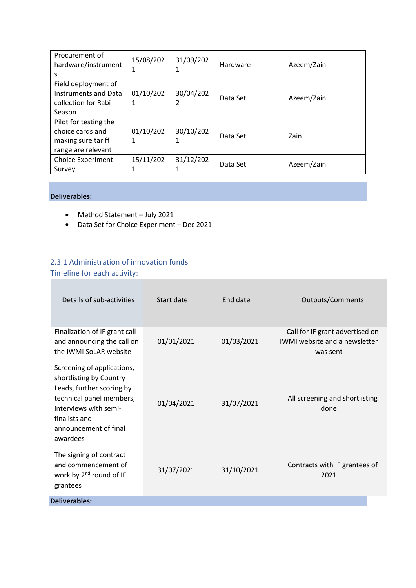| Procurement of<br>hardware/instrument<br>s                                            | 15/08/202      | 31/09/202      | Hardware | Azeem/Zain |
|---------------------------------------------------------------------------------------|----------------|----------------|----------|------------|
| Field deployment of<br><b>Instruments and Data</b><br>collection for Rabi<br>Season   | 01/10/202<br>1 | 30/04/202<br>2 | Data Set | Azeem/Zain |
| Pilot for testing the<br>choice cards and<br>making sure tariff<br>range are relevant | 01/10/202<br>1 | 30/10/202      | Data Set | Zain       |
| <b>Choice Experiment</b><br>Survey                                                    | 15/11/202      | 31/12/202      | Data Set | Azeem/Zain |

- Method Statement July 2021
- Data Set for Choice Experiment Dec 2021

# 2.3.1 Administration of innovation funds

| Details of sub-activities                                                                                                                                                                     | Start date | End date   | Outputs/Comments                                                                    |
|-----------------------------------------------------------------------------------------------------------------------------------------------------------------------------------------------|------------|------------|-------------------------------------------------------------------------------------|
| Finalization of IF grant call<br>and announcing the call on<br>the IWMI SoLAR website                                                                                                         | 01/01/2021 | 01/03/2021 | Call for IF grant advertised on<br><b>IWMI</b> website and a newsletter<br>was sent |
| Screening of applications,<br>shortlisting by Country<br>Leads, further scoring by<br>technical panel members,<br>interviews with semi-<br>finalists and<br>announcement of final<br>awardees | 01/04/2021 | 31/07/2021 | All screening and shortlisting<br>done                                              |
| The signing of contract<br>and commencement of<br>work by 2 <sup>nd</sup> round of IF<br>grantees                                                                                             | 31/07/2021 | 31/10/2021 | Contracts with IF grantees of<br>2021                                               |
| <b>Deliverables:</b>                                                                                                                                                                          |            |            |                                                                                     |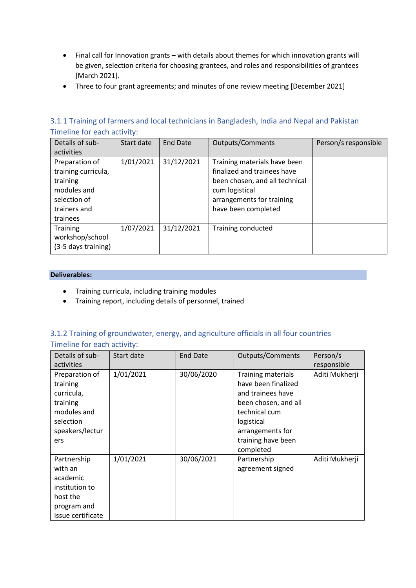- Final call for Innovation grants with details about themes for which innovation grants will be given, selection criteria for choosing grantees, and roles and responsibilities of grantees [March 2021].
- Three to four grant agreements; and minutes of one review meeting [December 2021]

## 3.1.1 Training of farmers and local technicians in Bangladesh, India and Nepal and Pakistan Timeline for each activity:

| Details of sub-                                                  | Start date | <b>End Date</b> | <b>Outputs/Comments</b>                                                                                         | Person/s responsible |
|------------------------------------------------------------------|------------|-----------------|-----------------------------------------------------------------------------------------------------------------|----------------------|
| activities                                                       |            |                 |                                                                                                                 |                      |
| Preparation of<br>training curricula,<br>training<br>modules and | 1/01/2021  | 31/12/2021      | Training materials have been<br>finalized and trainees have<br>been chosen, and all technical<br>cum logistical |                      |
| selection of<br>trainers and<br>trainees                         |            |                 | arrangements for training<br>have been completed                                                                |                      |
| <b>Training</b><br>workshop/school<br>(3-5 days training)        | 1/07/2021  | 31/12/2021      | Training conducted                                                                                              |                      |

#### **Deliverables:**

- Training curricula, including training modules
- Training report, including details of personnel, trained

### 3.1.2 Training of groundwater, energy, and agriculture officials in all four countries Timeline for each activity:

| Details of sub-                                                                                            | Start date | <b>End Date</b> | <b>Outputs/Comments</b>                                                                                                                                                      | Person/s       |
|------------------------------------------------------------------------------------------------------------|------------|-----------------|------------------------------------------------------------------------------------------------------------------------------------------------------------------------------|----------------|
| activities                                                                                                 |            |                 |                                                                                                                                                                              | responsible    |
| Preparation of<br>training<br>curricula,<br>training<br>modules and<br>selection<br>speakers/lectur<br>ers | 1/01/2021  | 30/06/2020      | Training materials<br>have been finalized<br>and trainees have<br>been chosen, and all<br>technical cum<br>logistical<br>arrangements for<br>training have been<br>completed | Aditi Mukherji |
| Partnership<br>with an<br>academic<br>institution to<br>host the<br>program and<br>issue certificate       | 1/01/2021  | 30/06/2021      | Partnership<br>agreement signed                                                                                                                                              | Aditi Mukherji |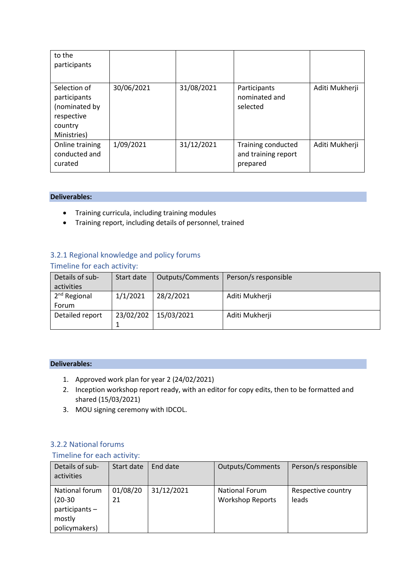| to the<br>participants                                                                |            |            |                                                       |                |
|---------------------------------------------------------------------------------------|------------|------------|-------------------------------------------------------|----------------|
| Selection of<br>participants<br>(nominated by<br>respective<br>country<br>Ministries) | 30/06/2021 | 31/08/2021 | Participants<br>nominated and<br>selected             | Aditi Mukherji |
| Online training<br>conducted and<br>curated                                           | 1/09/2021  | 31/12/2021 | Training conducted<br>and training report<br>prepared | Aditi Mukherji |

- Training curricula, including training modules
- Training report, including details of personnel, trained

# 3.2.1 Regional knowledge and policy forums

|  |  |  |  | Timeline for each activity: |  |
|--|--|--|--|-----------------------------|--|
|--|--|--|--|-----------------------------|--|

| Details of sub- | Start date | <b>Outputs/Comments</b> | Person/s responsible |
|-----------------|------------|-------------------------|----------------------|
| activities      |            |                         |                      |
| $2nd$ Regional  | 1/1/2021   | 28/2/2021               | Aditi Mukherji       |
| Forum           |            |                         |                      |
| Detailed report | 23/02/202  | 15/03/2021              | Aditi Mukherji       |
|                 |            |                         |                      |

#### **Deliverables:**

- 1. Approved work plan for year 2 (24/02/2021)
- 2. Inception workshop report ready, with an editor for copy edits, then to be formatted and shared (15/03/2021)
- 3. MOU signing ceremony with IDCOL.

#### 3.2.2 National forums

| Details of sub-<br>activities                                              | Start date     | End date   | Outputs/Comments                                 | Person/s responsible        |
|----------------------------------------------------------------------------|----------------|------------|--------------------------------------------------|-----------------------------|
| National forum<br>$(20-30)$<br>$participants -$<br>mostly<br>policymakers) | 01/08/20<br>21 | 31/12/2021 | <b>National Forum</b><br><b>Workshop Reports</b> | Respective country<br>leads |